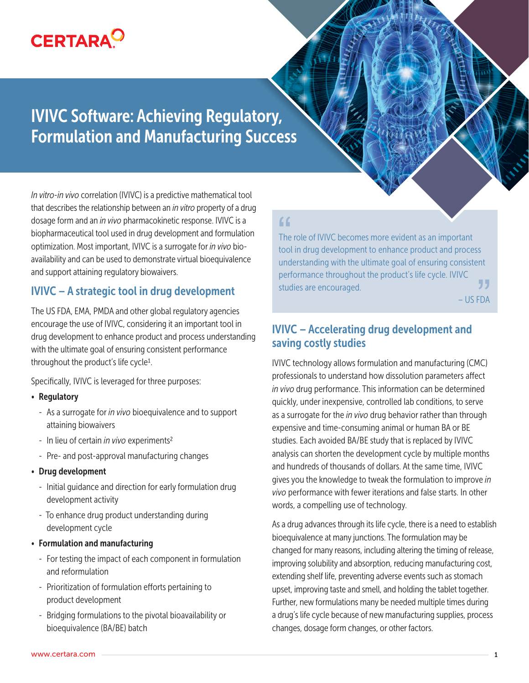# **CERTARA<sup>O</sup>**

## IVIVC Software: Achieving Regulatory, Formulation and Manufacturing Success

*In vitro-in vivo* correlation (IVIVC) is a predictive mathematical tool that describes the relationship between an *in vitro* property of a drug dosage form and an *in vivo* pharmacokinetic response. IVIVC is a biopharmaceutical tool used in drug development and formulation optimization. Most important, IVIVC is a surrogate for *in vivo* bioavailability and can be used to demonstrate virtual bioequivalence and support attaining regulatory biowaivers.

#### IVIVC – A strategic tool in drug development

The US FDA, EMA, PMDA and other global regulatory agencies encourage the use of IVIVC, considering it an important tool in drug development to enhance product and process understanding with the ultimate goal of ensuring consistent performance throughout the product's life cycle1.

Specifically, IVIVC is leveraged for three purposes:

- Regulatory
	- As a surrogate for *in vivo* bioequivalence and to support attaining biowaivers
	- In lieu of certain *in vivo* experiments2
	- Pre- and post-approval manufacturing changes
- Drug development
	- Initial guidance and direction for early formulation drug development activity
	- To enhance drug product understanding during development cycle
- Formulation and manufacturing
	- For testing the impact of each component in formulation and reformulation
	- Prioritization of formulation efforts pertaining to product development
	- Bridging formulations to the pivotal bioavailability or bioequivalence (BA/BE) batch

### $\Gamma$

The role of IVIVC becomes more evident as an important tool in drug development to enhance product and process understanding with the ultimate goal of ensuring consistent performance throughout the product's life cycle. IVIVC studies are encouraged. – US FDA **", "**<br>FDA

#### IVIVC – Accelerating drug development and saving costly studies

IVIVC technology allows formulation and manufacturing (CMC) professionals to understand how dissolution parameters affect *in vivo* drug performance. This information can be determined quickly, under inexpensive, controlled lab conditions, to serve as a surrogate for the *in vivo* drug behavior rather than through expensive and time-consuming animal or human BA or BE studies. Each avoided BA/BE study that is replaced by IVIVC analysis can shorten the development cycle by multiple months and hundreds of thousands of dollars. At the same time, IVIVC gives you the knowledge to tweak the formulation to improve *in vivo* performance with fewer iterations and false starts. In other words, a compelling use of technology.

As a drug advances through its life cycle, there is a need to establish bioequivalence at many junctions. The formulation may be changed for many reasons, including altering the timing of release, improving solubility and absorption, reducing manufacturing cost, extending shelf life, preventing adverse events such as stomach upset, improving taste and smell, and holding the tablet together. Further, new formulations many be needed multiple times during a drug's life cycle because of new manufacturing supplies, process changes, dosage form changes, or other factors.